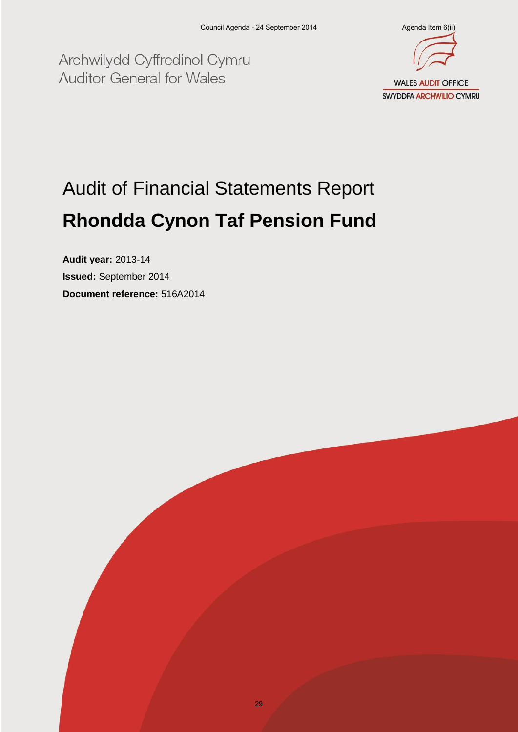Archwilydd Cyffredinol Cymru **Auditor General for Wales** 



# Audit of Financial Statements Report **Rhondda Cynon Taf Pension Fund**

**Audit year:** 2013-14 **Issued:** September 2014 **Document reference:** 516A2014

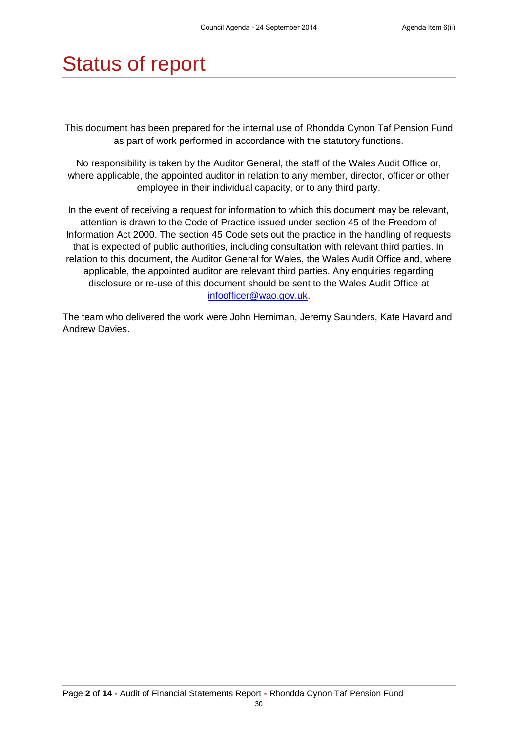## Status of report

This document has been prepared for the internal use of Rhondda Cynon Taf Pension Fund as part of work performed in accordance with the statutory functions.

No responsibility is taken by the Auditor General, the staff of the Wales Audit Office or, where applicable, the appointed auditor in relation to any member, director, officer or other employee in their individual capacity, or to any third party.

In the event of receiving a request for information to which this document may be relevant, attention is drawn to the Code of Practice issued under section 45 of the Freedom of Information Act 2000. The section 45 Code sets out the practice in the handling of requests that is expected of public authorities, including consultation with relevant third parties. In relation to this document, the Auditor General for Wales, the Wales Audit Office and, where applicable, the appointed auditor are relevant third parties. Any enquiries regarding disclosure or re-use of this document should be sent to the Wales Audit Office at [infoofficer@wao.gov.uk.](mailto:infoofficer@wao.gov.uk)

The team who delivered the work were John Herniman, Jeremy Saunders, Kate Havard and Andrew Davies.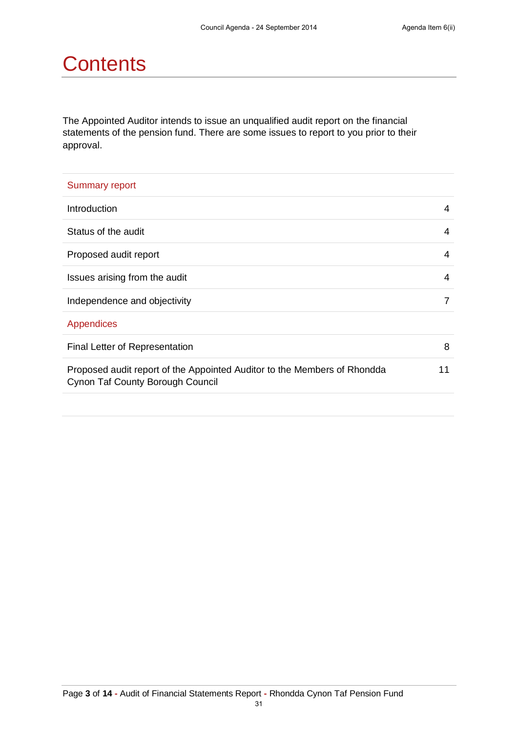## **Contents**

The Appointed Auditor intends to issue an unqualified audit report on the financial statements of the pension fund. There are some issues to report to you prior to their approval.

| <b>Summary report</b>                                                                                        |    |
|--------------------------------------------------------------------------------------------------------------|----|
| Introduction                                                                                                 | 4  |
| Status of the audit                                                                                          | 4  |
| Proposed audit report                                                                                        | 4  |
| Issues arising from the audit                                                                                | 4  |
| Independence and objectivity                                                                                 | 7  |
| Appendices                                                                                                   |    |
| Final Letter of Representation                                                                               | 8  |
| Proposed audit report of the Appointed Auditor to the Members of Rhondda<br>Cynon Taf County Borough Council | 11 |
|                                                                                                              |    |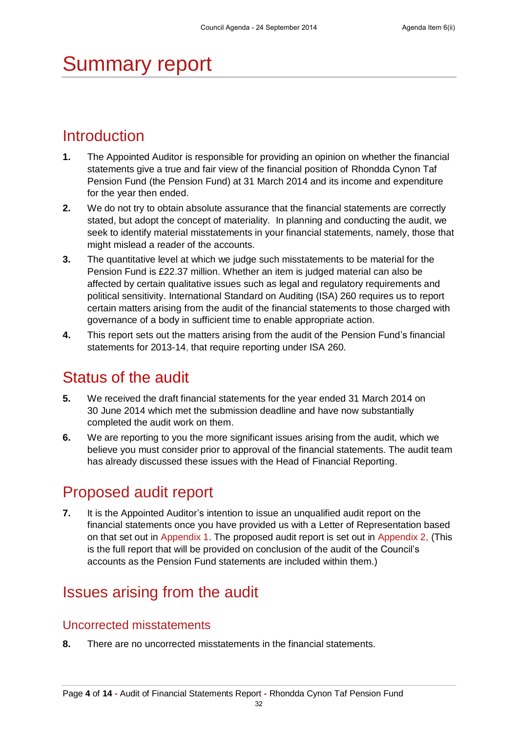## Summary report

### **Introduction**

- **1.** The Appointed Auditor is responsible for providing an opinion on whether the financial statements give a true and fair view of the financial position of Rhondda Cynon Taf Pension Fund (the Pension Fund) at 31 March 2014 and its income and expenditure for the year then ended.
- **2.** We do not try to obtain absolute assurance that the financial statements are correctly stated, but adopt the concept of materiality. In planning and conducting the audit, we seek to identify material misstatements in your financial statements, namely, those that might mislead a reader of the accounts.
- **3.** The quantitative level at which we judge such misstatements to be material for the Pension Fund is £22.37 million. Whether an item is judged material can also be affected by certain qualitative issues such as legal and regulatory requirements and political sensitivity. International Standard on Auditing (ISA) 260 requires us to report certain matters arising from the audit of the financial statements to those charged with governance of a body in sufficient time to enable appropriate action.
- **4.** This report sets out the matters arising from the audit of the Pension Fund's financial statements for 2013-14, that require reporting under ISA 260.

### Status of the audit

- **5.** We received the draft financial statements for the year ended 31 March 2014 on 30 June 2014 which met the submission deadline and have now substantially completed the audit work on them.
- **6.** We are reporting to you the more significant issues arising from the audit, which we believe you must consider prior to approval of the financial statements. The audit team has already discussed these issues with the Head of Financial Reporting.

### Proposed audit report

**7.** It is the Appointed Auditor's intention to issue an unqualified audit report on the financial statements once you have provided us with a Letter of Representation based on that set out in Appendix 1. The proposed audit report is set out in Appendix 2, (This is the full report that will be provided on conclusion of the audit of the Council's accounts as the Pension Fund statements are included within them.)

## Issues arising from the audit

### Uncorrected misstatements

**8.** There are no uncorrected misstatements in the financial statements.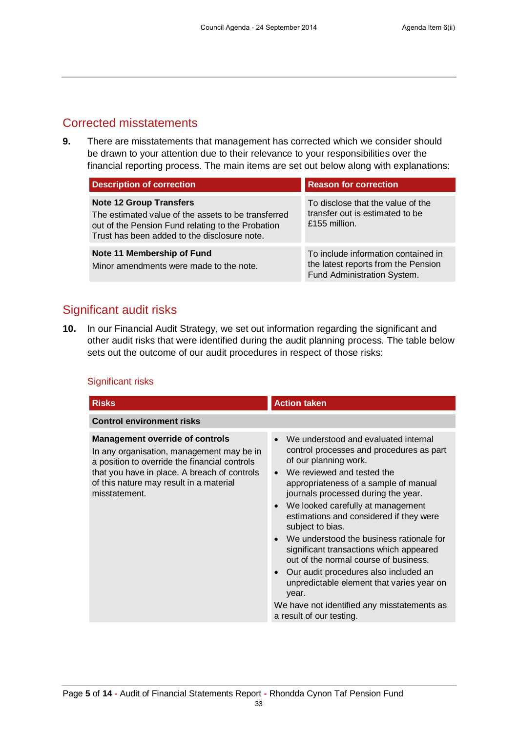### Corrected misstatements

**9.** There are misstatements that management has corrected which we consider should be drawn to your attention due to their relevance to your responsibilities over the financial reporting process. The main items are set out below along with explanations:

| <b>Description of correction</b>                                                                                                                                                           | <b>Reason for correction</b>                                                                              |
|--------------------------------------------------------------------------------------------------------------------------------------------------------------------------------------------|-----------------------------------------------------------------------------------------------------------|
| <b>Note 12 Group Transfers</b><br>The estimated value of the assets to be transferred<br>out of the Pension Fund relating to the Probation<br>Trust has been added to the disclosure note. | To disclose that the value of the<br>transfer out is estimated to be<br>£155 million.                     |
| Note 11 Membership of Fund<br>Minor amendments were made to the note.                                                                                                                      | To include information contained in<br>the latest reports from the Pension<br>Fund Administration System. |

### Significant audit risks

**10.** In our Financial Audit Strategy, we set out information regarding the significant and other audit risks that were identified during the audit planning process. The table below sets out the outcome of our audit procedures in respect of those risks:

### Significant risks

| <b>Risks</b>                                                                                                                                                                                                                                     | <b>Action taken</b>                                                                                                                                                                                                                                                                                                                                                                                                                                                                                                                                                                                                                                                   |
|--------------------------------------------------------------------------------------------------------------------------------------------------------------------------------------------------------------------------------------------------|-----------------------------------------------------------------------------------------------------------------------------------------------------------------------------------------------------------------------------------------------------------------------------------------------------------------------------------------------------------------------------------------------------------------------------------------------------------------------------------------------------------------------------------------------------------------------------------------------------------------------------------------------------------------------|
| <b>Control environment risks</b>                                                                                                                                                                                                                 |                                                                                                                                                                                                                                                                                                                                                                                                                                                                                                                                                                                                                                                                       |
| <b>Management override of controls</b><br>In any organisation, management may be in<br>a position to override the financial controls<br>that you have in place. A breach of controls<br>of this nature may result in a material<br>misstatement. | • We understood and evaluated internal<br>control processes and procedures as part<br>of our planning work.<br>• We reviewed and tested the<br>appropriateness of a sample of manual<br>journals processed during the year.<br>We looked carefully at management<br>$\bullet$<br>estimations and considered if they were<br>subject to bias.<br>• We understood the business rationale for<br>significant transactions which appeared<br>out of the normal course of business.<br>Our audit procedures also included an<br>$\bullet$<br>unpredictable element that varies year on<br>year.<br>We have not identified any misstatements as<br>a result of our testing. |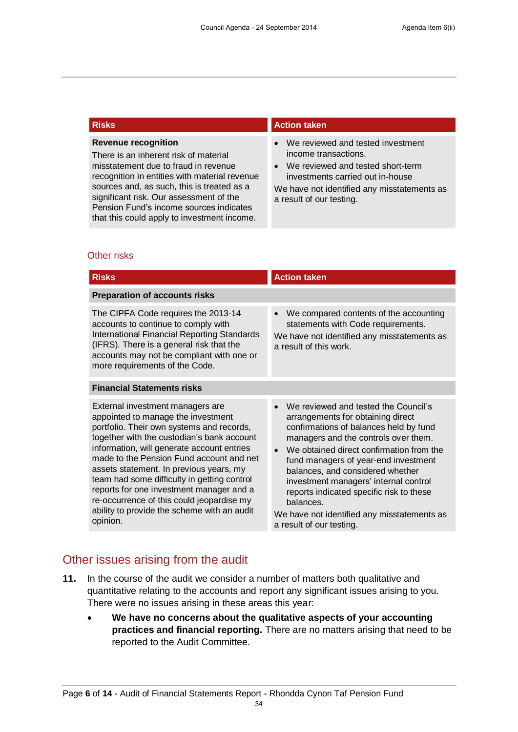#### **Revenue recognition**

There is an inherent risk of material misstatement due to fraud in revenue recognition in entities with material revenue sources and, as such, this is treated as a significant risk. Our assessment of the Pension Fund's income sources indicates that this could apply to investment income.

#### **Risks Action taken**

- We reviewed and tested investment income transactions.
- We reviewed and tested short-term investments carried out in-house

We have not identified any misstatements as a result of our testing.

#### Other risks

| <b>Risks</b>                                                                                                                                                                                                                                                                                                                                                                                                                                                                                              | <b>Action taken</b>                                                                                                                                                                                                                                                                                                                                                                                                                                                                        |  |
|-----------------------------------------------------------------------------------------------------------------------------------------------------------------------------------------------------------------------------------------------------------------------------------------------------------------------------------------------------------------------------------------------------------------------------------------------------------------------------------------------------------|--------------------------------------------------------------------------------------------------------------------------------------------------------------------------------------------------------------------------------------------------------------------------------------------------------------------------------------------------------------------------------------------------------------------------------------------------------------------------------------------|--|
| <b>Preparation of accounts risks</b>                                                                                                                                                                                                                                                                                                                                                                                                                                                                      |                                                                                                                                                                                                                                                                                                                                                                                                                                                                                            |  |
| The CIPFA Code requires the 2013-14<br>accounts to continue to comply with<br>International Financial Reporting Standards<br>(IFRS). There is a general risk that the<br>accounts may not be compliant with one or<br>more requirements of the Code.                                                                                                                                                                                                                                                      | We compared contents of the accounting<br>$\bullet$<br>statements with Code requirements.<br>We have not identified any misstatements as<br>a result of this work.                                                                                                                                                                                                                                                                                                                         |  |
| <b>Financial Statements risks</b>                                                                                                                                                                                                                                                                                                                                                                                                                                                                         |                                                                                                                                                                                                                                                                                                                                                                                                                                                                                            |  |
| External investment managers are<br>appointed to manage the investment<br>portfolio. Their own systems and records,<br>together with the custodian's bank account<br>information, will generate account entries<br>made to the Pension Fund account and net<br>assets statement. In previous years, my<br>team had some difficulty in getting control<br>reports for one investment manager and a<br>re-occurrence of this could jeopardise my<br>ability to provide the scheme with an audit<br>opinion. | We reviewed and tested the Council's<br>$\bullet$<br>arrangements for obtaining direct<br>confirmations of balances held by fund<br>managers and the controls over them.<br>We obtained direct confirmation from the<br>$\bullet$<br>fund managers of year-end investment<br>balances, and considered whether<br>investment managers' internal control<br>reports indicated specific risk to these<br>balances.<br>We have not identified any misstatements as<br>a result of our testing. |  |

### Other issues arising from the audit

- **11.** In the course of the audit we consider a number of matters both qualitative and quantitative relating to the accounts and report any significant issues arising to you. There were no issues arising in these areas this year:
	- **We have no concerns about the qualitative aspects of your accounting practices and financial reporting.** There are no matters arising that need to be reported to the Audit Committee.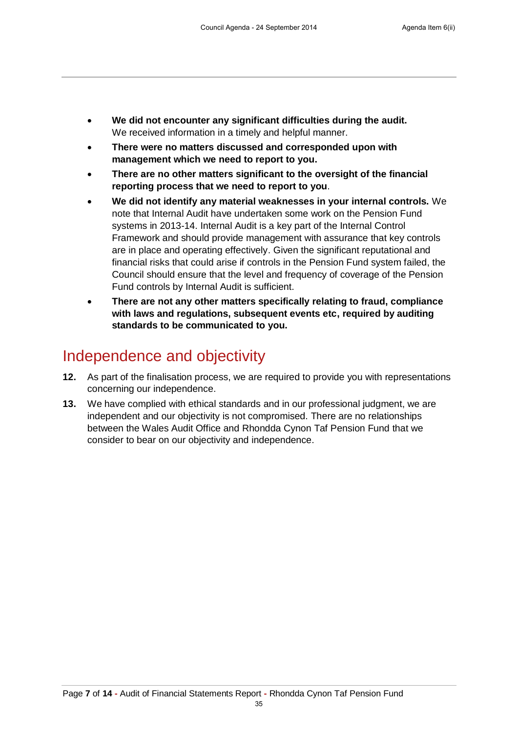- **We did not encounter any significant difficulties during the audit.** We received information in a timely and helpful manner.
- **There were no matters discussed and corresponded upon with management which we need to report to you.**
- **There are no other matters significant to the oversight of the financial reporting process that we need to report to you**.
- **We did not identify any material weaknesses in your internal controls.** We note that Internal Audit have undertaken some work on the Pension Fund systems in 2013-14. Internal Audit is a key part of the Internal Control Framework and should provide management with assurance that key controls are in place and operating effectively. Given the significant reputational and financial risks that could arise if controls in the Pension Fund system failed, the Council should ensure that the level and frequency of coverage of the Pension Fund controls by Internal Audit is sufficient.
- **There are not any other matters specifically relating to fraud, compliance with laws and regulations, subsequent events etc, required by auditing standards to be communicated to you.**

### Independence and objectivity

- **12.** As part of the finalisation process, we are required to provide you with representations concerning our independence.
- **13.** We have complied with ethical standards and in our professional judgment, we are independent and our objectivity is not compromised. There are no relationships between the Wales Audit Office and Rhondda Cynon Taf Pension Fund that we consider to bear on our objectivity and independence.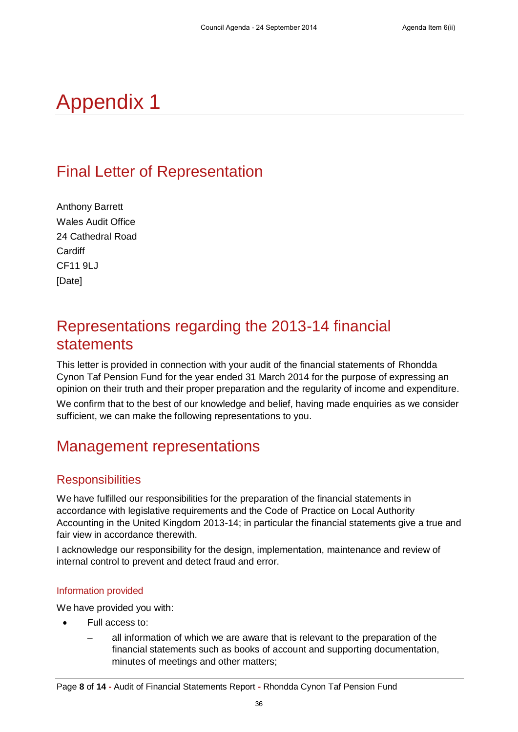## Appendix 1

## Final Letter of Representation

Anthony Barrett Wales Audit Office 24 Cathedral Road **Cardiff** CF11 9LJ [Date]

### Representations regarding the 2013-14 financial statements

This letter is provided in connection with your audit of the financial statements of Rhondda Cynon Taf Pension Fund for the year ended 31 March 2014 for the purpose of expressing an opinion on their truth and their proper preparation and the regularity of income and expenditure.

We confirm that to the best of our knowledge and belief, having made enquiries as we consider sufficient, we can make the following representations to you.

### Management representations

### **Responsibilities**

We have fulfilled our responsibilities for the preparation of the financial statements in accordance with legislative requirements and the Code of Practice on Local Authority Accounting in the United Kingdom 2013-14; in particular the financial statements give a true and fair view in accordance therewith.

I acknowledge our responsibility for the design, implementation, maintenance and review of internal control to prevent and detect fraud and error.

### Information provided

We have provided you with:

- Full access to:
	- all information of which we are aware that is relevant to the preparation of the financial statements such as books of account and supporting documentation, minutes of meetings and other matters;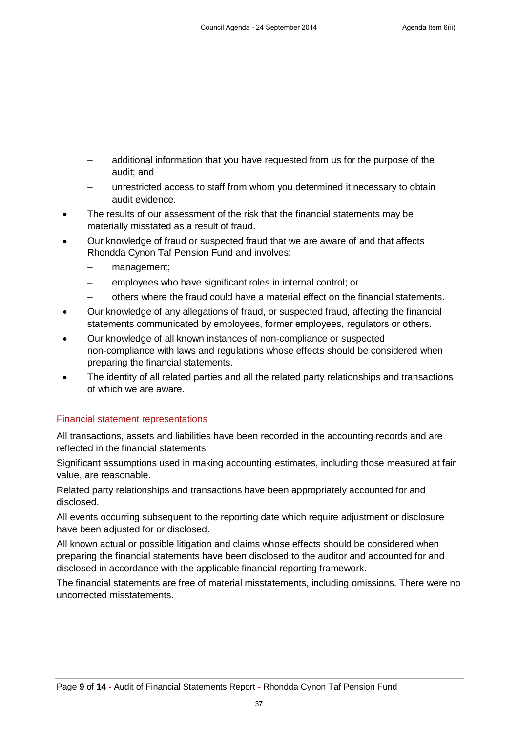- additional information that you have requested from us for the purpose of the audit; and
- unrestricted access to staff from whom you determined it necessary to obtain audit evidence.
- The results of our assessment of the risk that the financial statements may be materially misstated as a result of fraud.
- Our knowledge of fraud or suspected fraud that we are aware of and that affects Rhondda Cynon Taf Pension Fund and involves:
	- management:
	- employees who have significant roles in internal control; or
	- others where the fraud could have a material effect on the financial statements.
- Our knowledge of any allegations of fraud, or suspected fraud, affecting the financial statements communicated by employees, former employees, regulators or others.
- Our knowledge of all known instances of non-compliance or suspected non-compliance with laws and regulations whose effects should be considered when preparing the financial statements.
- The identity of all related parties and all the related party relationships and transactions of which we are aware.

### Financial statement representations

All transactions, assets and liabilities have been recorded in the accounting records and are reflected in the financial statements.

Significant assumptions used in making accounting estimates, including those measured at fair value, are reasonable.

Related party relationships and transactions have been appropriately accounted for and disclosed.

All events occurring subsequent to the reporting date which require adjustment or disclosure have been adjusted for or disclosed.

All known actual or possible litigation and claims whose effects should be considered when preparing the financial statements have been disclosed to the auditor and accounted for and disclosed in accordance with the applicable financial reporting framework.

The financial statements are free of material misstatements, including omissions. There were no uncorrected misstatements.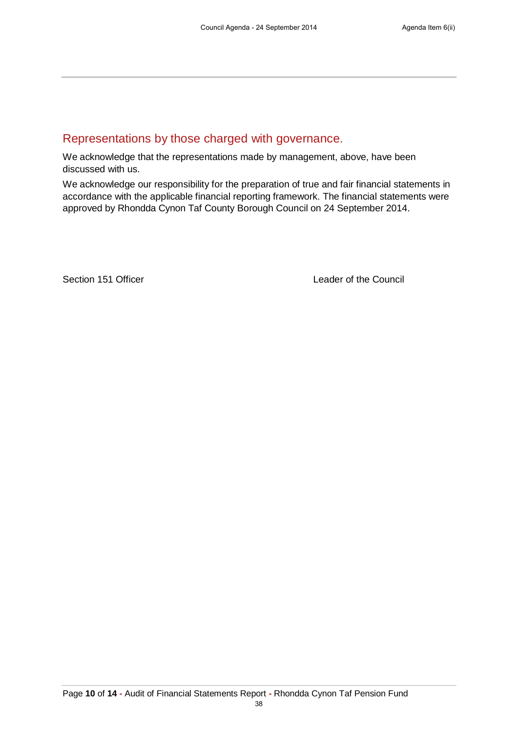### Representations by those charged with governance.

We acknowledge that the representations made by management, above, have been discussed with us.

We acknowledge our responsibility for the preparation of true and fair financial statements in accordance with the applicable financial reporting framework. The financial statements were approved by Rhondda Cynon Taf County Borough Council on 24 September 2014.

Section 151 Officer **Leader of the Council**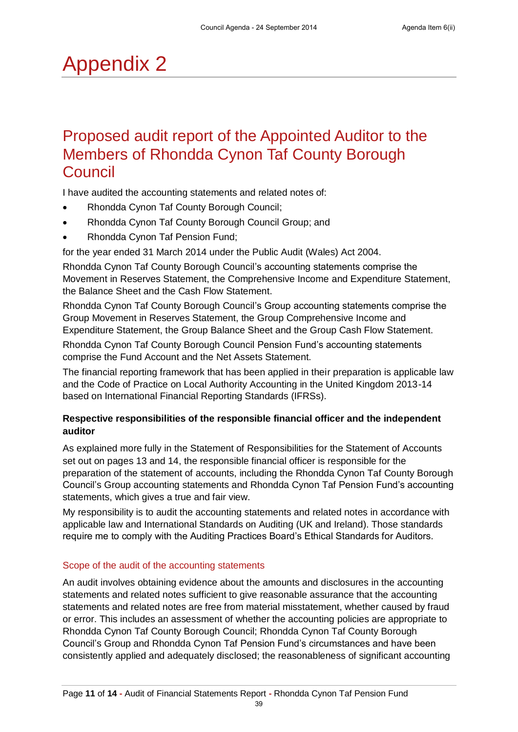## Appendix 2

### Proposed audit report of the Appointed Auditor to the Members of Rhondda Cynon Taf County Borough Council

I have audited the accounting statements and related notes of:

- Rhondda Cynon Taf County Borough Council;
- Rhondda Cynon Taf County Borough Council Group; and
- Rhondda Cynon Taf Pension Fund;

for the year ended 31 March 2014 under the Public Audit (Wales) Act 2004.

Rhondda Cynon Taf County Borough Council's accounting statements comprise the Movement in Reserves Statement, the Comprehensive Income and Expenditure Statement, the Balance Sheet and the Cash Flow Statement.

Rhondda Cynon Taf County Borough Council's Group accounting statements comprise the Group Movement in Reserves Statement, the Group Comprehensive Income and Expenditure Statement, the Group Balance Sheet and the Group Cash Flow Statement. Rhondda Cynon Taf County Borough Council Pension Fund's accounting statements comprise the Fund Account and the Net Assets Statement.

The financial reporting framework that has been applied in their preparation is applicable law and the Code of Practice on Local Authority Accounting in the United Kingdom 2013-14 based on International Financial Reporting Standards (IFRSs).

### **Respective responsibilities of the responsible financial officer and the independent auditor**

As explained more fully in the Statement of Responsibilities for the Statement of Accounts set out on pages 13 and 14, the responsible financial officer is responsible for the preparation of the statement of accounts, including the Rhondda Cynon Taf County Borough Council's Group accounting statements and Rhondda Cynon Taf Pension Fund's accounting statements, which gives a true and fair view.

My responsibility is to audit the accounting statements and related notes in accordance with applicable law and International Standards on Auditing (UK and Ireland). Those standards require me to comply with the Auditing Practices Board's Ethical Standards for Auditors.

### Scope of the audit of the accounting statements

An audit involves obtaining evidence about the amounts and disclosures in the accounting statements and related notes sufficient to give reasonable assurance that the accounting statements and related notes are free from material misstatement, whether caused by fraud or error. This includes an assessment of whether the accounting policies are appropriate to Rhondda Cynon Taf County Borough Council; Rhondda Cynon Taf County Borough Council's Group and Rhondda Cynon Taf Pension Fund's circumstances and have been consistently applied and adequately disclosed; the reasonableness of significant accounting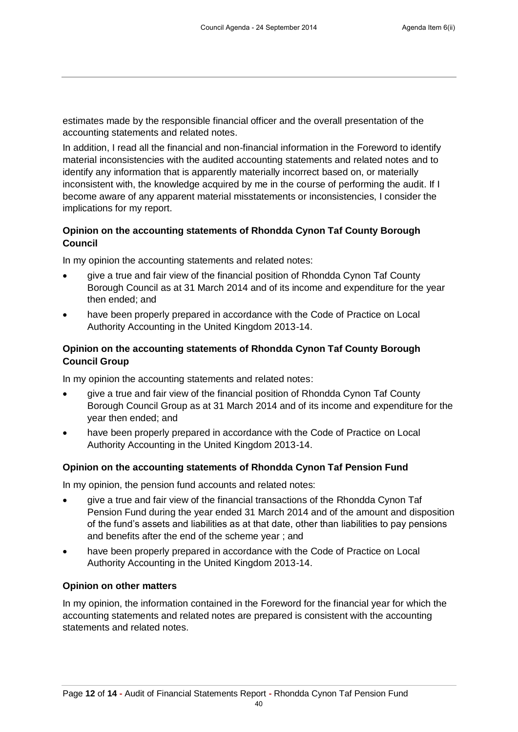estimates made by the responsible financial officer and the overall presentation of the accounting statements and related notes.

In addition, I read all the financial and non-financial information in the Foreword to identify material inconsistencies with the audited accounting statements and related notes and to identify any information that is apparently materially incorrect based on, or materially inconsistent with, the knowledge acquired by me in the course of performing the audit. If I become aware of any apparent material misstatements or inconsistencies, I consider the implications for my report.

### **Opinion on the accounting statements of Rhondda Cynon Taf County Borough Council**

In my opinion the accounting statements and related notes:

- give a true and fair view of the financial position of Rhondda Cynon Taf County Borough Council as at 31 March 2014 and of its income and expenditure for the year then ended; and
- have been properly prepared in accordance with the Code of Practice on Local Authority Accounting in the United Kingdom 2013-14.

### **Opinion on the accounting statements of Rhondda Cynon Taf County Borough Council Group**

In my opinion the accounting statements and related notes:

- give a true and fair view of the financial position of Rhondda Cynon Taf County Borough Council Group as at 31 March 2014 and of its income and expenditure for the year then ended; and
- have been properly prepared in accordance with the Code of Practice on Local Authority Accounting in the United Kingdom 2013-14.

### **Opinion on the accounting statements of Rhondda Cynon Taf Pension Fund**

In my opinion, the pension fund accounts and related notes:

- give a true and fair view of the financial transactions of the Rhondda Cynon Taf Pension Fund during the year ended 31 March 2014 and of the amount and disposition of the fund's assets and liabilities as at that date, other than liabilities to pay pensions and benefits after the end of the scheme year ; and
- have been properly prepared in accordance with the Code of Practice on Local Authority Accounting in the United Kingdom 2013-14.

### **Opinion on other matters**

In my opinion, the information contained in the Foreword for the financial year for which the accounting statements and related notes are prepared is consistent with the accounting statements and related notes.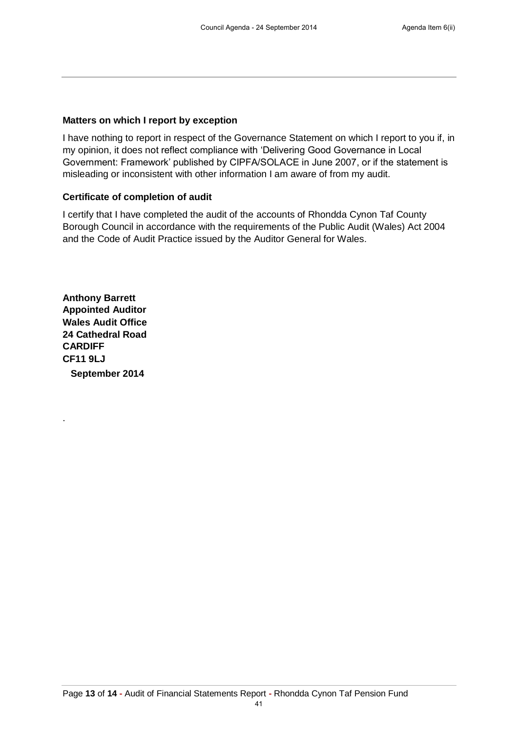#### **Matters on which I report by exception**

I have nothing to report in respect of the Governance Statement on which I report to you if, in my opinion, it does not reflect compliance with 'Delivering Good Governance in Local Government: Framework' published by CIPFA/SOLACE in June 2007, or if the statement is misleading or inconsistent with other information I am aware of from my audit.

#### **Certificate of completion of audit**

I certify that I have completed the audit of the accounts of Rhondda Cynon Taf County Borough Council in accordance with the requirements of the Public Audit (Wales) Act 2004 and the Code of Audit Practice issued by the Auditor General for Wales.

**Anthony Barrett Appointed Auditor Wales Audit Office 24 Cathedral Road CARDIFF CF11 9LJ September 2014**

.